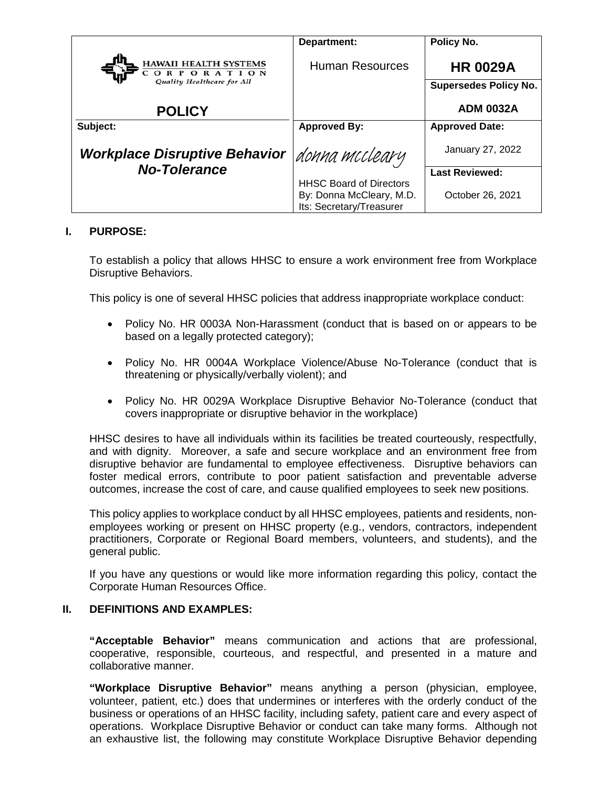|                                                                                 | Department:                                                                            | Policy No.                                      |
|---------------------------------------------------------------------------------|----------------------------------------------------------------------------------------|-------------------------------------------------|
| <b>HAWAII HEALTH SYSTEMS</b><br><b>ORPORATION</b><br>Quality Healthcare for All | <b>Human Resources</b>                                                                 | <b>HR 0029A</b><br><b>Supersedes Policy No.</b> |
| <b>POLICY</b>                                                                   |                                                                                        | <b>ADM 0032A</b>                                |
| Subject:                                                                        | <b>Approved By:</b>                                                                    | <b>Approved Date:</b>                           |
| <b>Workplace Disruptive Behavior</b>                                            | donna mccleary                                                                         | January 27, 2022                                |
| <b>No-Tolerance</b>                                                             |                                                                                        | <b>Last Reviewed:</b>                           |
|                                                                                 | <b>HHSC Board of Directors</b><br>By: Donna McCleary, M.D.<br>Its: Secretary/Treasurer | October 26, 2021                                |

# **I. PURPOSE:**

To establish a policy that allows HHSC to ensure a work environment free from Workplace Disruptive Behaviors.

This policy is one of several HHSC policies that address inappropriate workplace conduct:

- Policy No. HR 0003A Non-Harassment (conduct that is based on or appears to be based on a legally protected category);
- Policy No. HR 0004A Workplace Violence/Abuse No-Tolerance (conduct that is threatening or physically/verbally violent); and
- Policy No. HR 0029A Workplace Disruptive Behavior No-Tolerance (conduct that covers inappropriate or disruptive behavior in the workplace)

HHSC desires to have all individuals within its facilities be treated courteously, respectfully, and with dignity. Moreover, a safe and secure workplace and an environment free from disruptive behavior are fundamental to employee effectiveness. Disruptive behaviors can foster medical errors, contribute to poor patient satisfaction and preventable adverse outcomes, increase the cost of care, and cause qualified employees to seek new positions.

This policy applies to workplace conduct by all HHSC employees, patients and residents, nonemployees working or present on HHSC property (e.g., vendors, contractors, independent practitioners, Corporate or Regional Board members, volunteers, and students), and the general public.

If you have any questions or would like more information regarding this policy, contact the Corporate Human Resources Office.

#### **II. DEFINITIONS AND EXAMPLES:**

**"Acceptable Behavior"** means communication and actions that are professional, cooperative, responsible, courteous, and respectful, and presented in a mature and collaborative manner.

**"Workplace Disruptive Behavior"** means anything a person (physician, employee, volunteer, patient, etc.) does that undermines or interferes with the orderly conduct of the business or operations of an HHSC facility, including safety, patient care and every aspect of operations. Workplace Disruptive Behavior or conduct can take many forms. Although not an exhaustive list, the following may constitute Workplace Disruptive Behavior depending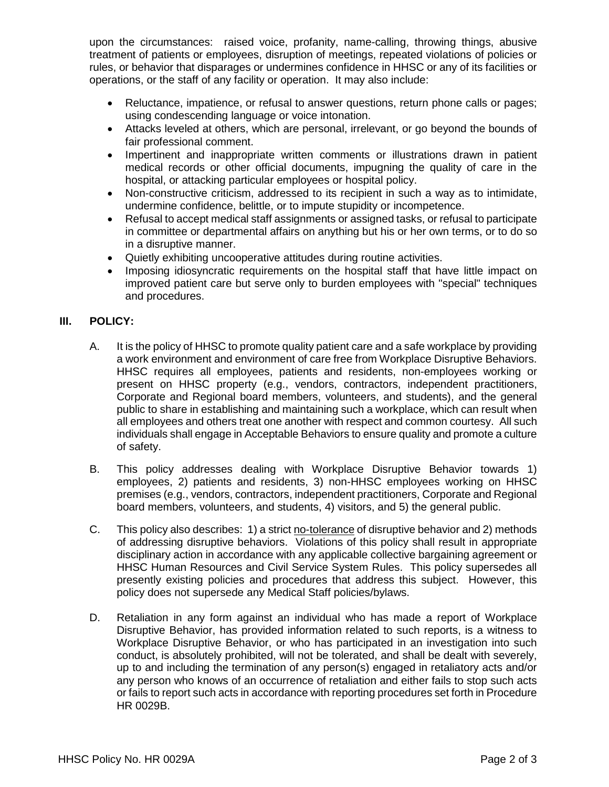upon the circumstances: raised voice, profanity, name-calling, throwing things, abusive treatment of patients or employees, disruption of meetings, repeated violations of policies or rules, or behavior that disparages or undermines confidence in HHSC or any of its facilities or operations, or the staff of any facility or operation. It may also include:

- Reluctance, impatience, or refusal to answer questions, return phone calls or pages; using condescending language or voice intonation.
- Attacks leveled at others, which are personal, irrelevant, or go beyond the bounds of fair professional comment.
- Impertinent and inappropriate written comments or illustrations drawn in patient medical records or other official documents, impugning the quality of care in the hospital, or attacking particular employees or hospital policy.
- Non-constructive criticism, addressed to its recipient in such a way as to intimidate, undermine confidence, belittle, or to impute stupidity or incompetence.
- Refusal to accept medical staff assignments or assigned tasks, or refusal to participate in committee or departmental affairs on anything but his or her own terms, or to do so in a disruptive manner.
- Quietly exhibiting uncooperative attitudes during routine activities.
- Imposing idiosyncratic requirements on the hospital staff that have little impact on improved patient care but serve only to burden employees with "special" techniques and procedures.

# **III. POLICY:**

- A. It is the policy of HHSC to promote quality patient care and a safe workplace by providing a work environment and environment of care free from Workplace Disruptive Behaviors. HHSC requires all employees, patients and residents, non-employees working or present on HHSC property (e.g., vendors, contractors, independent practitioners, Corporate and Regional board members, volunteers, and students), and the general public to share in establishing and maintaining such a workplace, which can result when all employees and others treat one another with respect and common courtesy. All such individuals shall engage in Acceptable Behaviors to ensure quality and promote a culture of safety.
- B. This policy addresses dealing with Workplace Disruptive Behavior towards 1) employees, 2) patients and residents, 3) non-HHSC employees working on HHSC premises (e.g., vendors, contractors, independent practitioners, Corporate and Regional board members, volunteers, and students, 4) visitors, and 5) the general public.
- C. This policy also describes: 1) a strict no-tolerance of disruptive behavior and 2) methods of addressing disruptive behaviors. Violations of this policy shall result in appropriate disciplinary action in accordance with any applicable collective bargaining agreement or HHSC Human Resources and Civil Service System Rules. This policy supersedes all presently existing policies and procedures that address this subject. However, this policy does not supersede any Medical Staff policies/bylaws.
- D. Retaliation in any form against an individual who has made a report of Workplace Disruptive Behavior, has provided information related to such reports, is a witness to Workplace Disruptive Behavior, or who has participated in an investigation into such conduct, is absolutely prohibited, will not be tolerated, and shall be dealt with severely, up to and including the termination of any person(s) engaged in retaliatory acts and/or any person who knows of an occurrence of retaliation and either fails to stop such acts or fails to report such acts in accordance with reporting procedures set forth in Procedure HR 0029B.